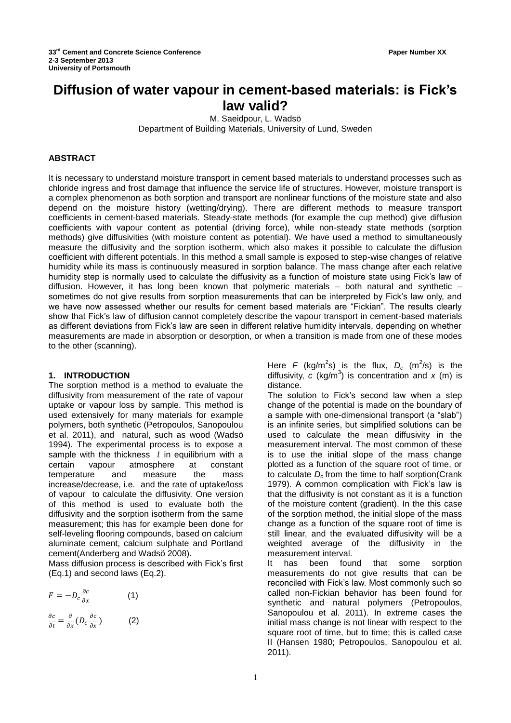# **Diffusion of water vapour in cement-based materials: is Fick's law valid?**

M. Saeidpour, L. Wadsö

Department of Building Materials, University of Lund, Sweden

## **ABSTRACT**

It is necessary to understand moisture transport in cement based materials to understand processes such as chloride ingress and frost damage that influence the service life of structures. However, moisture transport is a complex phenomenon as both sorption and transport are nonlinear functions of the moisture state and also depend on the moisture history (wetting/drying). There are different methods to measure transport coefficients in cement-based materials. Steady-state methods (for example the cup method) give diffusion coefficients with vapour content as potential (driving force), while non-steady state methods (sorption methods) give diffusivities (with moisture content as potential). We have used a method to simultaneously measure the diffusivity and the sorption isotherm, which also makes it possible to calculate the diffusion coefficient with different potentials. In this method a small sample is exposed to step-wise changes of relative humidity while its mass is continuously measured in sorption balance. The mass change after each relative humidity step is normally used to calculate the diffusivity as a function of moisture state using Fick's law of diffusion. However, it has long been known that polymeric materials – both natural and synthetic – sometimes do not give results from sorption measurements that can be interpreted by Fick's law only, and we have now assessed whether our results for cement based materials are "Fickian". The results clearly show that Fick's law of diffusion cannot completely describe the vapour transport in cement-based materials as different deviations from Fick's law are seen in different relative humidity intervals, depending on whether measurements are made in absorption or desorption, or when a transition is made from one of these modes to the other (scanning).

## **1. INTRODUCTION**

The sorption method is a method to evaluate the diffusivity from measurement of the rate of vapour uptake or vapour loss by sample. This method is used extensively for many materials for example polymers, both synthetic [\(Petropoulos, Sanopoulou](#page-3-0)  [et al. 2011\)](#page-3-0), and natural, such as wood [\(Wadsö](#page-4-0)  [1994\)](#page-4-0). The experimental process is to expose a sample with the thickness  $l$  in equilibrium with a certain vapour atmosphere at constant temperature and measure the mass increase/decrease, i.e. and the rate of uptake/loss of vapour to calculate the diffusivity. One version of this method is used to evaluate both the diffusivity and the sorption isotherm from the same measurement; this has for example been done for self-leveling flooring compounds, based on calcium aluminate cement, calcium sulphate and Portland cement[\(Anderberg and Wadsö 2008\)](#page-3-1).

Mass diffusion process is described with Fick's first (Eq.1) and second laws (Eq.2).

$$
F = -D_c \frac{\partial c}{\partial x} \tag{1}
$$

$$
\frac{\partial c}{\partial t} = \frac{\partial}{\partial x} \left( D_c \frac{\partial c}{\partial x} \right) \tag{2}
$$

Here *F* (kg/m<sup>2</sup>s) is the flux,  $D_c$  (m<sup>2</sup>/s) is the diffusivity,  $c$  (kg/m<sup>3</sup>) is concentration and  $x$  (m) is distance.

The solution to Fick's second law when a step change of the potential is made on the boundary of a sample with one-dimensional transport (a "slab") is an infinite series, but simplified solutions can be used to calculate the mean diffusivity in the measurement interval. The most common of these is to use the initial slope of the mass change plotted as a function of the square root of time, or to calculate *D<sup>c</sup>* from the time to half sorption[\(Crank](#page-3-2)  [1979\)](#page-3-2). A common complication with Fick's law is that the diffusivity is not constant as it is a function of the moisture content (gradient). In the this case of the sorption method, the initial slope of the mass change as a function of the square root of time is still linear, and the evaluated diffusivity will be a weighted average of the diffusivity in the measurement interval.

It has been found that some sorption measurements do not give results that can be reconciled with Fick's law. Most commonly such so called non-Fickian behavior has been found for synthetic and natural polymers [\(Petropoulos,](#page-3-0)  [Sanopoulou et al. 2011\)](#page-3-0). In extreme cases the initial mass change is not linear with respect to the square root of time, but to time; this is called case II [\(Hansen 1980;](#page-3-3) [Petropoulos, Sanopoulou et al.](#page-3-0)  [2011\)](#page-3-0).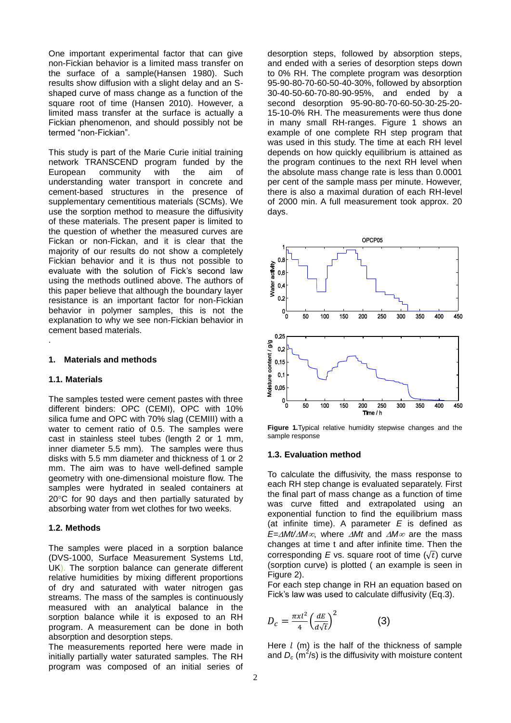One important experimental factor that can give non-Fickian behavior is a limited mass transfer on the surface of a sample[\(Hansen 1980\)](#page-3-3). Such results show diffusion with a slight delay and an Sshaped curve of mass change as a function of the square root of time [\(Hansen 2010\)](#page-3-4). However, a limited mass transfer at the surface is actually a Fickian phenomenon, and should possibly not be termed "non-Fickian".

This study is part of the Marie Curie initial training network TRANSCEND program funded by the European community with the aim of understanding water transport in concrete and cement-based structures in the presence of supplementary cementitious materials (SCMs). We use the sorption method to measure the diffusivity of these materials. The present paper is limited to the question of whether the measured curves are Fickan or non-Fickan, and it is clear that the majority of our results do not show a completely Fickian behavior and it is thus not possible to evaluate with the solution of Fick's second law using the methods outlined above. The authors of this paper believe that although the boundary layer resistance is an important factor for non-Fickian behavior in polymer samples, this is not the explanation to why we see non-Fickian behavior in cement based materials.

#### **1. Materials and methods**

## **1.1. Materials**

.

The samples tested were cement pastes with three different binders: OPC (CEMI), OPC with 10% silica fume and OPC with 70% slag (CEMIII) with a water to cement ratio of 0.5. The samples were cast in stainless steel tubes (length 2 or 1 mm, inner diameter 5.5 mm). The samples were thus disks with 5.5 mm diameter and thickness of 1 or 2 mm. The aim was to have well-defined sample geometry with one-dimensional moisture flow. The samples were hydrated in sealed containers at  $20^{\circ}$ C for 90 days and then partially saturated by absorbing water from wet clothes for two weeks.

## **1.2. Methods**

The samples were placed in a sorption balance (DVS-1000, Surface Measurement Systems Ltd, UK). The sorption balance can generate different relative humidities by mixing different proportions of dry and saturated with water nitrogen gas streams. The mass of the samples is continuously measured with an analytical balance in the sorption balance while it is exposed to an RH program. A measurement can be done in both absorption and desorption steps.

The measurements reported here were made in initially partially water saturated samples. The RH program was composed of an initial series of desorption steps, followed by absorption steps, and ended with a series of desorption steps down to 0% RH. The complete program was desorption 95-90-80-70-60-50-40-30%, followed by absorption 30-40-50-60-70-80-90-95%, and ended by a second desorption 95-90-80-70-60-50-30-25-20- 15-10-0% RH. The measurements were thus done in many small RH-ranges. Figure 1 shows an example of one complete RH step program that was used in this study. The time at each RH level depends on how quickly equilibrium is attained as the program continues to the next RH level when the absolute mass change rate is less than 0.0001 per cent of the sample mass per minute. However, there is also a maximal duration of each RH-level of 2000 min. A full measurement took approx. 20 days.



**Figure 1.**Typical relative humidity stepwise changes and the sample response

#### **1.3. Evaluation method**

To calculate the diffusivity, the mass response to each RH step change is evaluated separately. First the final part of mass change as a function of time was curve fitted and extrapolated using an exponential function to find the equilibrium mass (at infinite time). A parameter *E* is defined as *E=* $\Delta M t / \Delta M \infty$ *, where*  $\Delta M t$  *and*  $\Delta M \infty$  *are the mass* changes at time t and after infinite time. Then the corresponding *E* vs. square root of time  $(\sqrt{t})$  curve (sorption curve) is plotted ( an example is seen in Figure 2).

For each step change in RH an equation based on Fick's law was used to calculate diffusivity (Eq.3).

$$
D_c = \frac{\pi x l^2}{4} \left(\frac{dE}{d\sqrt{t}}\right)^2 \tag{3}
$$

Here  $l$  (m) is the half of the thickness of sample and  $D_c$  ( $\text{m}^2$ /s) is the diffusivity with moisture content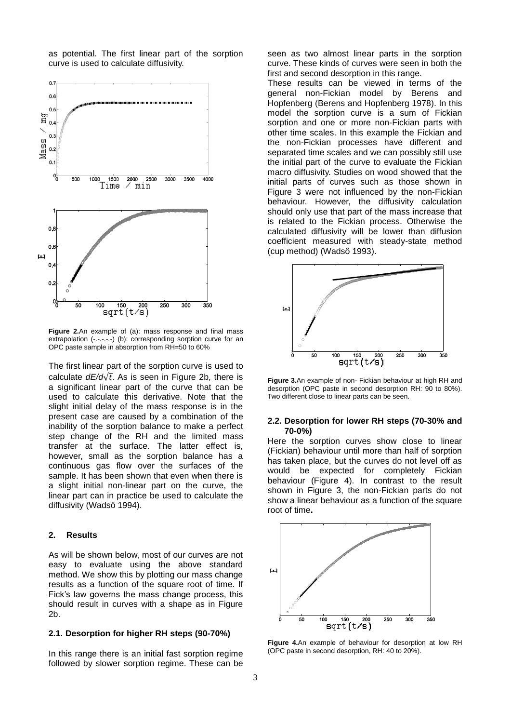as potential. The first linear part of the sorption curve is used to calculate diffusivity.



**Figure 2.**An example of (a): mass response and final mass extrapolation (-.-.-.-) (b): corresponding sorption curve for an OPC paste sample in absorption from RH=50 to 60%

The first linear part of the sorption curve is used to calculate  $dE/d\sqrt{t}$ . As is seen in Figure 2b, there is a significant linear part of the curve that can be used to calculate this derivative. Note that the slight initial delay of the mass response is in the present case are caused by a combination of the inability of the sorption balance to make a perfect step change of the RH and the limited mass transfer at the surface. The latter effect is, however, small as the sorption balance has a continuous gas flow over the surfaces of the sample. It has been shown that even when there is a slight initial non-linear part on the curve, the linear part can in practice be used to calculate the diffusivity [\(Wadsö 1994\)](#page-4-1).

#### **2. Results**

As will be shown below, most of our curves are not easy to evaluate using the above standard method. We show this by plotting our mass change results as a function of the square root of time. If Fick's law governs the mass change process, this should result in curves with a shape as in Figure 2b.

## **2.1. Desorption for higher RH steps (90-70%)**

In this range there is an initial fast sorption regime followed by slower sorption regime. These can be

seen as two almost linear parts in the sorption curve. These kinds of curves were seen in both the first and second desorption in this range.

These results can be viewed in terms of the general non-Fickian model by Berens and Hopfenberg [\(Berens and Hopfenberg 1978\)](#page-3-5). In this model the sorption curve is a sum of Fickian sorption and one or more non-Fickian parts with other time scales. In this example the Fickian and the non-Fickian processes have different and separated time scales and we can possibly still use the initial part of the curve to evaluate the Fickian macro diffusivity. Studies on wood showed that the initial parts of curves such as those shown in Figure 3 were not influenced by the non-Fickian behaviour. However, the diffusivity calculation should only use that part of the mass increase that is related to the Fickian process. Otherwise the calculated diffusivity will be lower than diffusion coefficient measured with steady-state method (cup method) [\(Wadsö 1993\)](#page-3-6).



**Figure 3.**An example of non- Fickian behaviour at high RH and desorption (OPC paste in second desorption RH: 90 to 80%). Two different close to linear parts can be seen.

#### **2.2. Desorption for lower RH steps (70-30% and 70-0%)**

Here the sorption curves show close to linear (Fickian) behaviour until more than half of sorption has taken place, but the curves do not level off as would be expected for completely Fickian behaviour (Figure 4). In contrast to the result shown in Figure 3, the non-Fickian parts do not show a linear behaviour as a function of the square root of time**.**



**Figure 4.**An example of behaviour for desorption at low RH (OPC paste in second desorption, RH: 40 to 20%).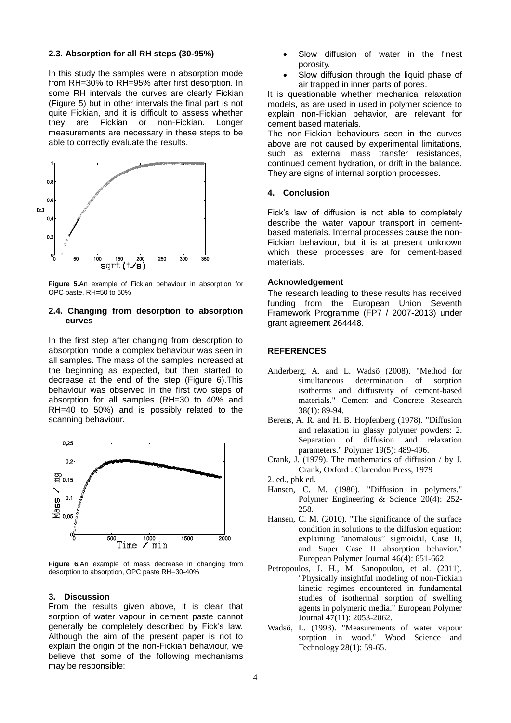## **2.3. Absorption for all RH steps (30-95%)**

In this study the samples were in absorption mode from RH=30% to RH=95% after first desorption. In some RH intervals the curves are clearly Fickian (Figure 5) but in other intervals the final part is not quite Fickian, and it is difficult to assess whether they are Fickian or non-Fickian. Longer measurements are necessary in these steps to be able to correctly evaluate the results.



**Figure 5.**An example of Fickian behaviour in absorption for OPC paste, RH=50 to 60%

## **2.4. Changing from desorption to absorption curves**

In the first step after changing from desorption to absorption mode a complex behaviour was seen in all samples. The mass of the samples increased at the beginning as expected, but then started to decrease at the end of the step (Figure 6).This behaviour was observed in the first two steps of absorption for all samples (RH=30 to 40% and RH=40 to 50%) and is possibly related to the scanning behaviour.



**Figure 6.**An example of mass decrease in changing from desorption to absorption, OPC paste RH=30-40%

## **3. Discussion**

From the results given above, it is clear that sorption of water vapour in cement paste cannot generally be completely described by Fick's law. Although the aim of the present paper is not to explain the origin of the non-Fickian behaviour, we believe that some of the following mechanisms may be responsible:

- Slow diffusion of water in the finest porosity.
- Slow diffusion through the liquid phase of air trapped in inner parts of pores.

It is questionable whether mechanical relaxation models, as are used in used in polymer science to explain non-Fickian behavior, are relevant for cement based materials.

The non-Fickian behaviours seen in the curves above are not caused by experimental limitations, such as external mass transfer resistances, continued cement hydration, or drift in the balance. They are signs of internal sorption processes.

#### **4. Conclusion**

Fick's law of diffusion is not able to completely describe the water vapour transport in cementbased materials. Internal processes cause the non-Fickian behaviour, but it is at present unknown which these processes are for cement-based materials.

## **Acknowledgement**

The research leading to these results has received funding from the European Union Seventh Framework Programme (FP7 / 2007-2013) under grant agreement 264448.

## **REFERENCES**

- <span id="page-3-1"></span>Anderberg, A. and L. Wadsö (2008). "Method for simultaneous determination of sorption isotherms and diffusivity of cement-based materials." Cement and Concrete Research 38(1): 89-94.
- <span id="page-3-5"></span>Berens, A. R. and H. B. Hopfenberg (1978). "Diffusion and relaxation in glassy polymer powders: 2. Separation of diffusion and relaxation parameters." Polymer 19(5): 489-496.
- <span id="page-3-2"></span>Crank, J. (1979). The mathematics of diffusion / by J. Crank, Oxford : Clarendon Press, 1979
- 2. ed., pbk ed.
- <span id="page-3-3"></span>Hansen, C. M. (1980). "Diffusion in polymers." Polymer Engineering & Science 20(4): 252- 258.
- <span id="page-3-4"></span>Hansen, C. M. (2010). "The significance of the surface condition in solutions to the diffusion equation: explaining "anomalous" sigmoidal, Case II, and Super Case II absorption behavior." European Polymer Journal 46(4): 651-662.
- <span id="page-3-0"></span>Petropoulos, J. H., M. Sanopoulou, et al. (2011). "Physically insightful modeling of non-Fickian kinetic regimes encountered in fundamental studies of isothermal sorption of swelling agents in polymeric media." European Polymer Journal 47(11): 2053-2062.
- <span id="page-3-6"></span>Wadsö, L. (1993). "Measurements of water vapour sorption in wood." Wood Science and Technology 28(1): 59-65.